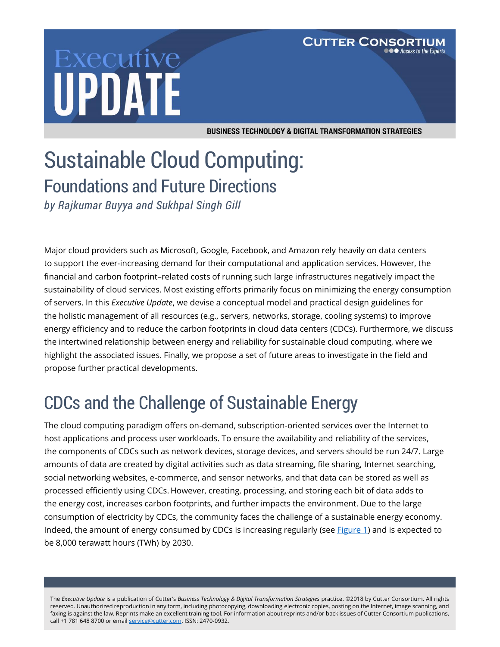# Executive **UPDATE**

**BUSINESS TECHNOLOGY & DIGITAL TRANSFORMATION STRATEGIES** 

**CUTTER CONSOR** 

TIUM ● Access to the Experts

## Sustainable Cloud Computing: Foundations and Future Directions

*by Rajkumar Buyya and Sukhpal Singh Gill* 

Major cloud providers such as Microsoft, Google, Facebook, and Amazon rely heavily on data centers to support the ever-increasing demand for their computational and application services. However, the financial and carbon footprint–related costs of running such large infrastructures negatively impact the sustainability of cloud services. Most existing efforts primarily focus on minimizing the energy consumption of servers. In this *Executive Update*, we devise a conceptual model and practical design guidelines for the holistic management of all resources (e.g., servers, networks, storage, cooling systems) to improve energy efficiency and to reduce the carbon footprints in cloud data centers (CDCs). Furthermore, we discuss the intertwined relationship between energy and reliability for sustainable cloud computing, where we highlight the associated issues. Finally, we propose a set of future areas to investigate in the field and propose further practical developments.

## CDCs and the Challenge of Sustainable Energy

The cloud computing paradigm offers on-demand, subscription-oriented services over the Internet to host applications and process user workloads. To ensure the availability and reliability of the services, the components of CDCs such as network devices, storage devices, and servers should be run 24/7. Large amounts of data are created by digital activities such as data streaming, file sharing, Internet searching, social networking websites, e-commerce, and sensor networks, and that data can be stored as well as processed efficiently using CDCs. However, creating, processing, and storing each bit of data adds to the energy cost, increases carbon footprints, and further impacts the environment. Due to the large consumption of electricity by CDCs, the community faces the challenge of a sustainable energy economy. Indeed, the amount of energy consumed by CDCs is increasing regularly (see **Figure 1**) and is expected to be 8,000 terawatt hours (TWh) by 2030.

The *Executive Update* is a publication of Cutter's *Business Technology & Digital Transformation Strategies* practice. ©2018 by Cutter Consortium. All rights reserved. Unauthorized reproduction in any form, including photocopying, downloading electronic copies, posting on the Internet, image scanning, and faxing is against the law. Reprints make an excellent training tool. For information about reprints and/or back issues of Cutter Consortium publications, call +1 781 648 8700 or emai[l service@cutter.com.](mailto:service@cutter.com) ISSN: 2470-0932.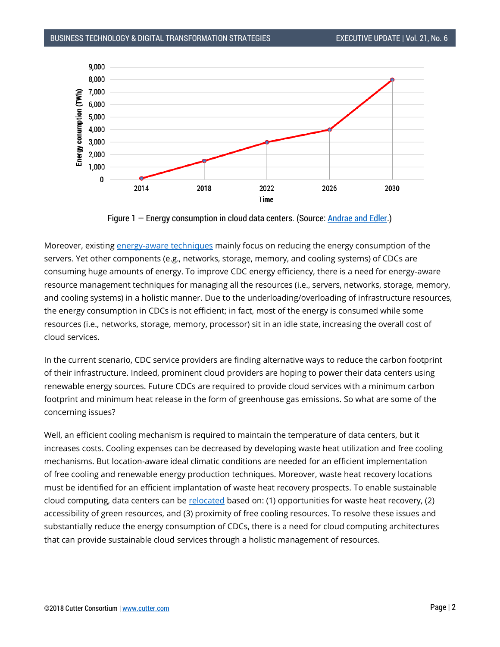

Figure 1 – Energy consumption in cloud data centers. (Source: **Andrae and Edler.)** 

Moreover, existing [energy-aware techniques](http://www.mdpi.com/2071-1050/7/10/13947) mainly focus on reducing the energy consumption of the servers. Yet other components (e.g., networks, storage, memory, and cooling systems) of CDCs are consuming huge amounts of energy. To improve CDC energy efficiency, there is a need for energy-aware resource management techniques for managing all the resources (i.e., servers, networks, storage, memory, and cooling systems) in a holistic manner. Due to the underloading/overloading of infrastructure resources, the energy consumption in CDCs is not efficient; in fact, most of the energy is consumed while some resources (i.e., networks, storage, memory, processor) sit in an idle state, increasing the overall cost of cloud services.

In the current scenario, CDC service providers are finding alternative ways to reduce the carbon footprint of their infrastructure. Indeed, prominent cloud providers are hoping to power their data centers using renewable energy sources. Future CDCs are required to provide cloud services with a minimum carbon footprint and minimum heat release in the form of greenhouse gas emissions. So what are some of the concerning issues?

Well, an efficient cooling mechanism is required to maintain the temperature of data centers, but it increases costs. Cooling expenses can be decreased by developing waste heat utilization and free cooling mechanisms. But location-aware ideal climatic conditions are needed for an efficient implementation of free cooling and renewable energy production techniques. Moreover, waste heat recovery locations must be identified for an efficient implantation of waste heat recovery prospects. To enable sustainable cloud computing, data centers can be [relocated](https://www.sciencedirect.com/science/article/pii/S0167739X17315650) based on: (1) opportunities for waste heat recovery, (2) accessibility of green resources, and (3) proximity of free cooling resources. To resolve these issues and substantially reduce the energy consumption of CDCs, there is a need for cloud computing architectures that can provide sustainable cloud services through a holistic management of resources.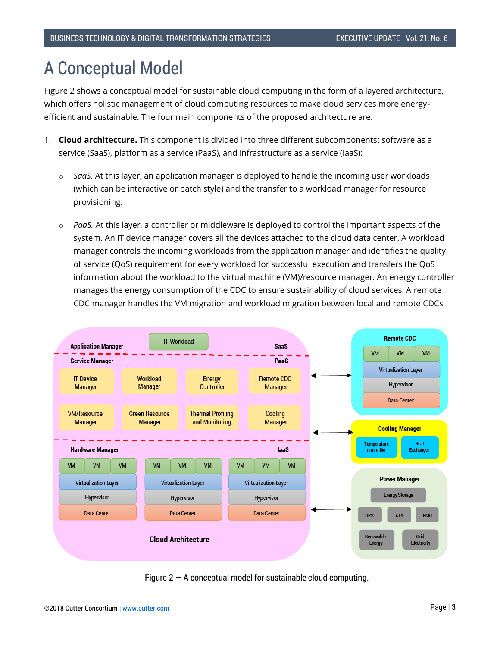#### A Conceptual Model

Figure 2 shows a conceptual model for sustainable cloud computing in the form of a layered architecture, which offers holistic management of cloud computing resources to make cloud services more energyefficient and sustainable. The four main components of the proposed architecture are:

- 1. **Cloud architecture.** This component is divided into three different subcomponents: software as a service (SaaS), platform as a service (PaaS), and infrastructure as a service (IaaS):
	- o *SaaS.* At this layer, an application manager is deployed to handle the incoming user workloads (which can be interactive or batch style) and the transfer to a workload manager for resource provisioning.
	- o *PaaS.* At this layer, a controller or middleware is deployed to control the important aspects of the system. An IT device manager covers all the devices attached to the cloud data center. A workload manager controls the incoming workloads from the application manager and identifies the quality of service (QoS) requirement for every workload for successful execution and transfers the QoS information about the workload to the virtual machine (VM)/resource manager. An energy controller manages the energy consumption of the CDC to ensure sustainability of cloud services. A remote CDC manager handles the VM migration and workload migration between local and remote CDCs



Figure  $2 - A$  conceptual model for sustainable cloud computing.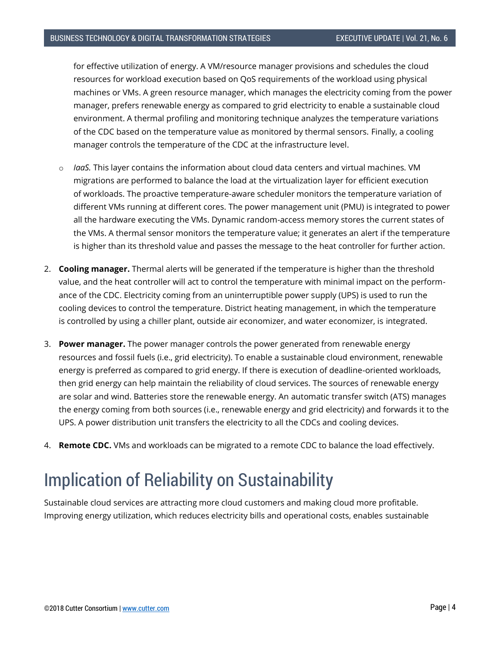for effective utilization of energy. A VM/resource manager provisions and schedules the cloud resources for workload execution based on QoS requirements of the workload using physical machines or VMs. A green resource manager, which manages the electricity coming from the power manager, prefers renewable energy as compared to grid electricity to enable a sustainable cloud environment. A thermal profiling and monitoring technique analyzes the temperature variations of the CDC based on the temperature value as monitored by thermal sensors. Finally, a cooling manager controls the temperature of the CDC at the infrastructure level.

- *IgaS*. This layer contains the information about cloud data centers and virtual machines. VM migrations are performed to balance the load at the virtualization layer for efficient execution of workloads. The proactive temperature-aware scheduler monitors the temperature variation of different VMs running at different cores. The power management unit (PMU) is integrated to power all the hardware executing the VMs. Dynamic random-access memory stores the current states of the VMs. A thermal sensor monitors the temperature value; it generates an alert if the temperature is higher than its threshold value and passes the message to the heat controller for further action.
- 2. **Cooling manager.** Thermal alerts will be generated if the temperature is higher than the threshold value, and the heat controller will act to control the temperature with minimal impact on the performance of the CDC. Electricity coming from an uninterruptible power supply (UPS) is used to run the cooling devices to control the temperature. District heating management, in which the temperature is controlled by using a chiller plant, outside air economizer, and water economizer, is integrated.
- 3. **Power manager.** The power manager controls the power generated from renewable energy resources and fossil fuels (i.e., grid electricity). To enable a sustainable cloud environment, renewable energy is preferred as compared to grid energy. If there is execution of deadline-oriented workloads, then grid energy can help maintain the reliability of cloud services. The sources of renewable energy are solar and wind. Batteries store the renewable energy. An automatic transfer switch (ATS) manages the energy coming from both sources (i.e., renewable energy and grid electricity) and forwards it to the UPS. A power distribution unit transfers the electricity to all the CDCs and cooling devices.
- 4. **Remote CDC.** VMs and workloads can be migrated to a remote CDC to balance the load effectively.

### Implication of Reliability on Sustainability

Sustainable cloud services are attracting more cloud customers and making cloud more profitable. Improving energy utilization, which reduces electricity bills and operational costs, enables sustainable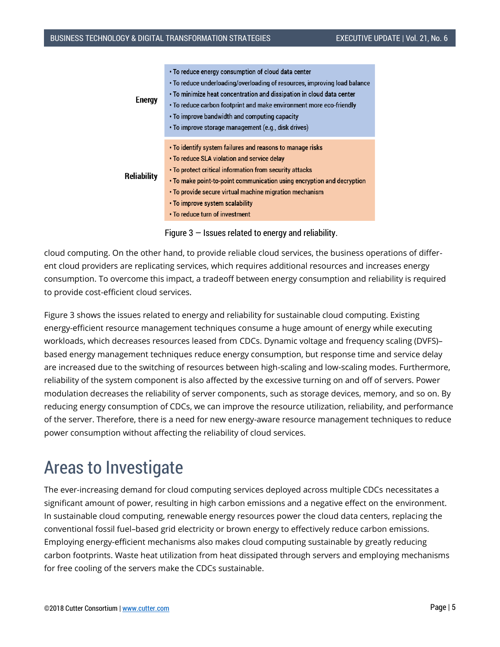| <b>Energy</b>      | • To reduce energy consumption of cloud data center                       |
|--------------------|---------------------------------------------------------------------------|
|                    | • To reduce underloading/overloading of resources, improving load balance |
|                    | • To minimize heat concentration and dissipation in cloud data center     |
|                    | . To reduce carbon footprint and make environment more eco-friendly       |
|                    | • To improve bandwidth and computing capacity                             |
|                    | · To improve storage management (e.g., disk drives)                       |
|                    |                                                                           |
| <b>Reliability</b> | . To identify system failures and reasons to manage risks                 |
|                    | $\cdot$ To reduce SLA violation and service delay                         |
|                    | . To protect critical information from security attacks                   |
|                    | . To make point-to-point communication using encryption and decryption    |
|                    | • To provide secure virtual machine migration mechanism                   |
|                    | • To improve system scalability                                           |
|                    | . To reduce turn of investment                                            |

Figure  $3$  – Issues related to energy and reliability.

cloud computing. On the other hand, to provide reliable cloud services, the business operations of different cloud providers are replicating services, which requires additional resources and increases energy consumption. To overcome this impact, a tradeoff between energy consumption and reliability is required to provide cost-efficient cloud services.

Figure 3 shows the issues related to energy and reliability for sustainable cloud computing. Existing energy-efficient resource management techniques consume a huge amount of energy while executing workloads, which decreases resources leased from CDCs. Dynamic voltage and frequency scaling (DVFS)– based energy management techniques reduce energy consumption, but response time and service delay are increased due to the switching of resources between high-scaling and low-scaling modes. Furthermore, reliability of the system component is also affected by the excessive turning on and off of servers. Power modulation decreases the reliability of server components, such as storage devices, memory, and so on. By reducing energy consumption of CDCs, we can improve the resource utilization, reliability, and performance of the server. Therefore, there is a need for new energy-aware resource management techniques to reduce power consumption without affecting the reliability of cloud services.

#### Areas to Investigate

The ever-increasing demand for cloud computing services deployed across multiple CDCs necessitates a significant amount of power, resulting in high carbon emissions and a negative effect on the environment. In sustainable cloud computing, renewable energy resources power the cloud data centers, replacing the conventional fossil fuel–based grid electricity or brown energy to effectively reduce carbon emissions. Employing energy-efficient mechanisms also makes cloud computing sustainable by greatly reducing carbon footprints. Waste heat utilization from heat dissipated through servers and employing mechanisms for free cooling of the servers make the CDCs sustainable.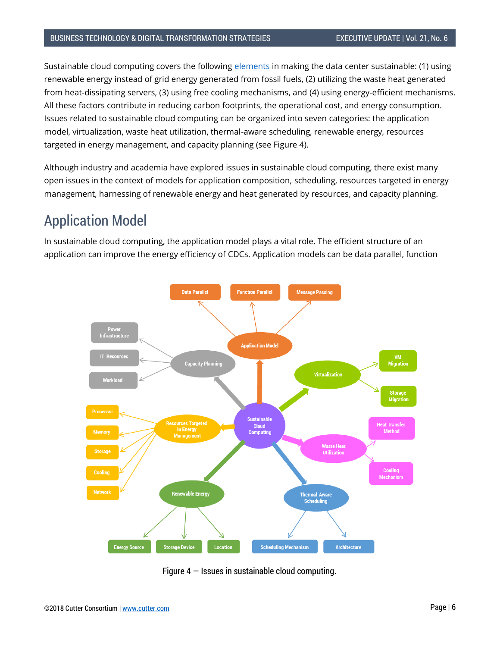Sustainable cloud computing covers the following [elements](https://ieeexplore.ieee.org/document/7888576) in making the data center sustainable: (1) using renewable energy instead of grid energy generated from fossil fuels, (2) utilizing the waste heat generated from heat-dissipating servers, (3) using free cooling mechanisms, and (4) using energy-efficient mechanisms. All these factors contribute in reducing carbon footprints, the operational cost, and energy consumption. Issues related to sustainable cloud computing can be organized into seven categories: the application model, virtualization, waste heat utilization, thermal-aware scheduling, renewable energy, resources targeted in energy management, and capacity planning (see Figure 4).

Although industry and academia have explored issues in sustainable cloud computing, there exist many open issues in the context of models for application composition, scheduling, resources targeted in energy management, harnessing of renewable energy and heat generated by resources, and capacity planning.

#### Application Model

In sustainable cloud computing, the application model plays a vital role. The efficient structure of an application can improve the energy efficiency of CDCs. Application models can be data parallel, function



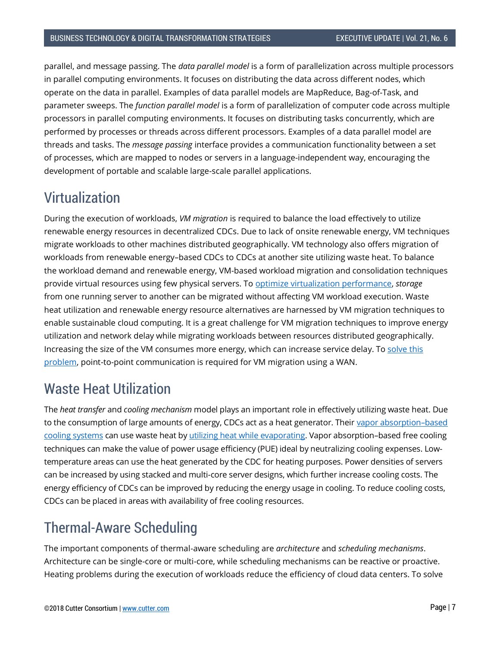parallel, and message passing. The *data parallel model* is a form of parallelization across multiple processors in parallel computing environments. It focuses on distributing the data across different nodes, which operate on the data in parallel. Examples of data parallel models are MapReduce, Bag-of-Task, and parameter sweeps. The *function parallel model* is a form of parallelization of computer code across multiple processors in parallel computing environments. It focuses on distributing tasks concurrently, which are performed by processes or threads across different processors. Examples of a data parallel model are threads and tasks. The *message passing* interface provides a communication functionality between a set of processes, which are mapped to nodes or servers in a language-independent way, encouraging the development of portable and scalable large-scale parallel applications.

#### Virtualization

During the execution of workloads, *VM migration* is required to balance the load effectively to utilize renewable energy resources in decentralized CDCs. Due to lack of onsite renewable energy, VM techniques migrate workloads to other machines distributed geographically. VM technology also offers migration of workloads from renewable energy–based CDCs to CDCs at another site utilizing waste heat. To balance the workload demand and renewable energy, VM-based workload migration and consolidation techniques provide virtual resources using few physical servers. To [optimize virtualization performance,](https://ieeexplore.ieee.org/stamp/stamp.jsp?arnumber=6731524) *storage* from one running server to another can be migrated without affecting VM workload execution. Waste heat utilization and renewable energy resource alternatives are harnessed by VM migration techniques to enable sustainable cloud computing. It is a great challenge for VM migration techniques to improve energy utilization and network delay while migrating workloads between resources distributed geographically. Increasing the size of the VM consumes more energy, which can increase service delay. To solve this [problem,](https://www.sciencedirect.com/science/article/pii/S0065245815000637) point-to-point communication is required for VM migration using a WAN.

#### Waste Heat Utilization

The *heat transfer* and *cooling mechanism* model plays an important role in effectively utilizing waste heat. Due to the consumption of large amounts of energy, CDCs act as a heat generator. Their vapor [absorption](https://www.sciencedirect.com/science/article/pii/S1364032112001979)–based [cooling systems](https://www.sciencedirect.com/science/article/pii/S1364032112001979) can use waste heat by [utilizing heat while evaporating.](https://ieeexplore.ieee.org/document/7397855/) Vapor absorption–based free cooling techniques can make the value of power usage efficiency (PUE) ideal by neutralizing cooling expenses. Lowtemperature areas can use the heat generated by the CDC for heating purposes. Power densities of servers can be increased by using stacked and multi-core server designs, which further increase cooling costs. The energy efficiency of CDCs can be improved by reducing the energy usage in cooling. To reduce cooling costs, CDCs can be placed in areas with availability of free cooling resources.

#### Thermal-Aware Scheduling

The important components of thermal-aware scheduling are *architecture* and *scheduling mechanisms*. Architecture can be single-core or multi-core, while scheduling mechanisms can be reactive or proactive. Heating problems during the execution of workloads reduce the efficiency of cloud data centers. To solve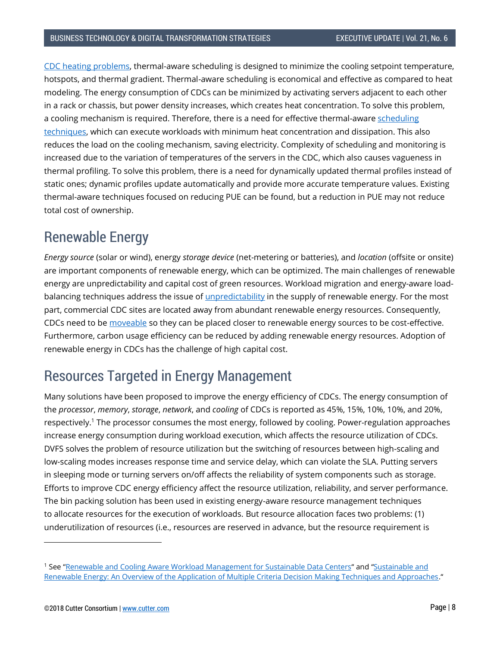CDC [heating problems,](https://ieeexplore.ieee.org/document/7891045/) thermal-aware scheduling is designed to minimize the cooling setpoint temperature, hotspots, and thermal gradient. Thermal-aware scheduling is economical and effective as compared to heat modeling. The energy consumption of CDCs can be minimized by activating servers adjacent to each other in a rack or chassis, but power density increases, which creates heat concentration. To solve this problem, a cooling mechanism is required. Therefore, there is a need for effective thermal-awar[e scheduling](https://www.sciencedirect.com/science/article/pii/S0167739X17315650)  [techniques,](https://www.sciencedirect.com/science/article/pii/S0167739X17315650) which can execute workloads with minimum heat concentration and dissipation. This also reduces the load on the cooling mechanism, saving electricity. Complexity of scheduling and monitoring is increased due to the variation of temperatures of the servers in the CDC, which also causes vagueness in thermal profiling. To solve this problem, there is a need for dynamically updated thermal profiles instead of static ones; dynamic profiles update automatically and provide more accurate temperature values. Existing thermal-aware techniques focused on reducing PUE can be found, but a reduction in PUE may not reduce total cost of ownership.

#### Renewable Energy

*Energy source* (solar or wind), energy *storage device* (net-metering or batteries), and *location* (offsite or onsite) are important components of renewable energy, which can be optimized. The main challenges of renewable energy are unpredictability and capital cost of green resources. Workload migration and energy-aware loadbalancing techniques address the issue of *unpredictability* in the supply of renewable energy. For the most part, commercial CDC sites are located away from abundant renewable energy resources. Consequently, CDCs need to be [moveable](https://arxiv.org/ftp/arxiv/papers/1712/1712.02899.pdf) so they can be placed closer to renewable energy sources to be cost-effective. Furthermore, carbon usage efficiency can be reduced by adding renewable energy resources. Adoption of renewable energy in CDCs has the challenge of high capital cost.

#### Resources Targeted in Energy Management

Many solutions have been proposed to improve the energy efficiency of CDCs. The energy consumption of the *processor*, *memory*, *storage*, *network*, and *cooling* of CDCs is reported as 45%, 15%, 10%, 10%, and 20%, respectively.<sup>1</sup> The processor consumes the most energy, followed by cooling. Power-regulation approaches increase energy consumption during workload execution, which affects the resource utilization of CDCs. DVFS solves the problem of resource utilization but the switching of resources between high-scaling and low-scaling modes increases response time and service delay, which can violate the SLA. Putting servers in sleeping mode or turning servers on/off affects the reliability of system components such as storage. Efforts to improve CDC energy efficiency affect the resource utilization, reliability, and server performance. The bin packing solution has been used in existing energy-aware resource management techniques to allocate resources for the execution of workloads. But resource allocation faces two problems: (1) underutilization of resources (i.e., resources are reserved in advance, but the resource requirement is

l

<sup>&</sup>lt;sup>1</sup> See "[Renewable and Cooling Aware Workload Management for Sustainable Data Centers](https://dl.acm.org/citation.cfm?id=2254779)" and "Sustainable and [Renewable Energy: An Overview of the Application of Multiple Criteria Decision Making Techniques and Approaches.](http://www.mdpi.com/2071-1050/7/10/13947)"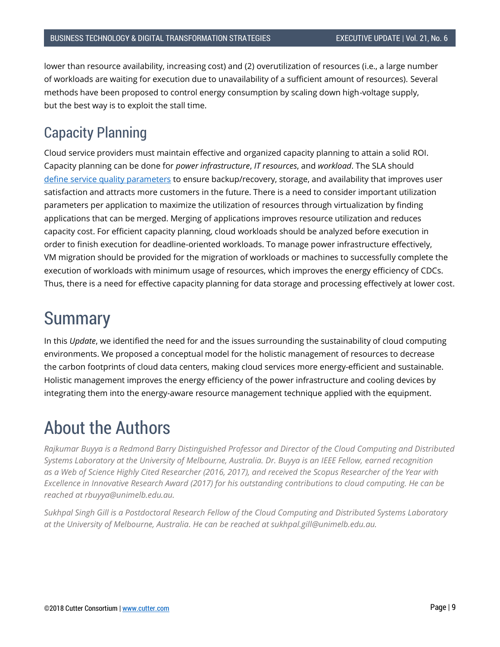lower than resource availability, increasing cost) and (2) overutilization of resources (i.e., a large number of workloads are waiting for execution due to unavailability of a sufficient amount of resources). Several methods have been proposed to control energy consumption by scaling down high-voltage supply, but the best way is to exploit the stall time.

#### Capacity Planning

Cloud service providers must maintain effective and organized capacity planning to attain a solid ROI. Capacity planning can be done for *power infrastructure*, *IT resources*, and *workload*. The SLA should define [service quality parameters](https://ieeexplore.ieee.org/document/7888576/) to ensure backup/recovery, storage, and availability that improves user satisfaction and attracts more customers in the future. There is a need to consider important utilization parameters per application to maximize the utilization of resources through virtualization by finding applications that can be merged. Merging of applications improves resource utilization and reduces capacity cost. For efficient capacity planning, cloud workloads should be analyzed before execution in order to finish execution for deadline-oriented workloads. To manage power infrastructure effectively, VM migration should be provided for the migration of workloads or machines to successfully complete the execution of workloads with minimum usage of resources, which improves the energy efficiency of CDCs. Thus, there is a need for effective capacity planning for data storage and processing effectively at lower cost.

#### **Summary**

In this *Update*, we identified the need for and the issues surrounding the sustainability of cloud computing environments. We proposed a conceptual model for the holistic management of resources to decrease the carbon footprints of cloud data centers, making cloud services more energy-efficient and sustainable. Holistic management improves the energy efficiency of the power infrastructure and cooling devices by integrating them into the energy-aware resource management technique applied with the equipment.

### About the Authors

*Rajkumar Buyya is a Redmond Barry Distinguished Professor and Director of the Cloud Computing and Distributed Systems Laboratory at the University of Melbourne, Australia. Dr. Buyya is an IEEE Fellow, earned recognition as a Web of Science Highly Cited Researcher (2016, 2017), and received the Scopus Researcher of the Year with Excellence in Innovative Research Award (2017) for his outstanding contributions to cloud computing. He can be reached at rbuyya@unimelb.edu.au.*

*Sukhpal Singh Gill is a Postdoctoral Research Fellow of the Cloud Computing and Distributed Systems Laboratory at the University of Melbourne, Australia. He can be reached at sukhpal.gill@unimelb.edu.au.*